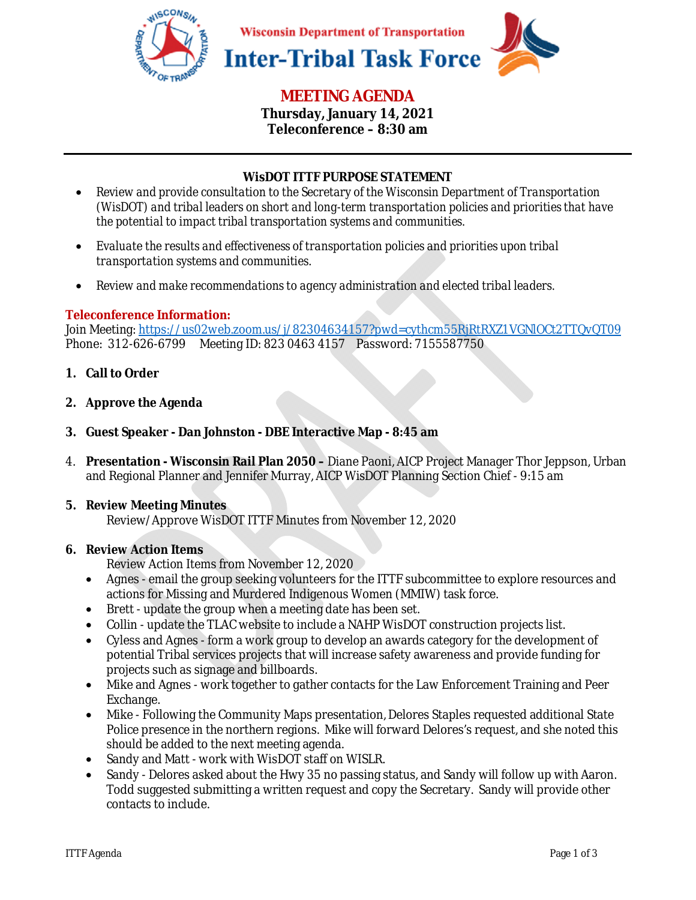

# **MEETING AGENDA**

**Thursday, January 14, 2021 Teleconference – 8:30 am** 

## **WisDOT ITTF PURPOSE STATEMENT**

- *Review and provide consultation to the Secretary of the Wisconsin Department of Transportation (WisDOT) and tribal leaders on short and long-term transportation policies and priorities that have the potential to impact tribal transportation systems and communities.*
- *Evaluate the results and effectiveness of transportation policies and priorities upon tribal transportation systems and communities.*
- *Review and make recommendations to agency administration and elected tribal leaders.*

## **Teleconference Information:**

Join Meeting: https://us02web.zoom.us/j/82304634157?pwd=cythcm55RjRtRXZ1VGNlOCt2TTQvQT09 Phone: 312-626-6799 Meeting ID: 823 0463 4157 Password: 7155587750

- **1. Call to Order**
- **2. Approve the Agenda**
- **3. Guest Speaker Dan Johnston DBE Interactive Map 8:45 am**
- 4. **Presentation Wisconsin Rail Plan 2050** Diane Paoni, AICP Project Manager Thor Jeppson, Urban and Regional Planner and Jennifer Murray, AICP WisDOT Planning Section Chief - 9:15 am

#### **5. Review Meeting Minutes**

Review/Approve WisDOT ITTF Minutes from November 12, 2020

#### **6. Review Action Items**

Review Action Items from November 12, 2020

- Agnes email the group seeking volunteers for the ITTF subcommittee to explore resources and actions for Missing and Murdered Indigenous Women (MMIW) task force.
- Brett update the group when a meeting date has been set.
- Collin update the TLAC website to include a NAHP WisDOT construction projects list.
- Cyless and Agnes form a work group to develop an awards category for the development of potential Tribal services projects that will increase safety awareness and provide funding for projects such as signage and billboards.
- Mike and Agnes work together to gather contacts for the Law Enforcement Training and Peer Exchange.
- Mike Following the Community Maps presentation, Delores Staples requested additional State Police presence in the northern regions. Mike will forward Delores's request, and she noted this should be added to the next meeting agenda.
- Sandy and Matt work with WisDOT staff on WISLR.
- Sandy Delores asked about the Hwy 35 no passing status, and Sandy will follow up with Aaron. Todd suggested submitting a written request and copy the Secretary. Sandy will provide other contacts to include.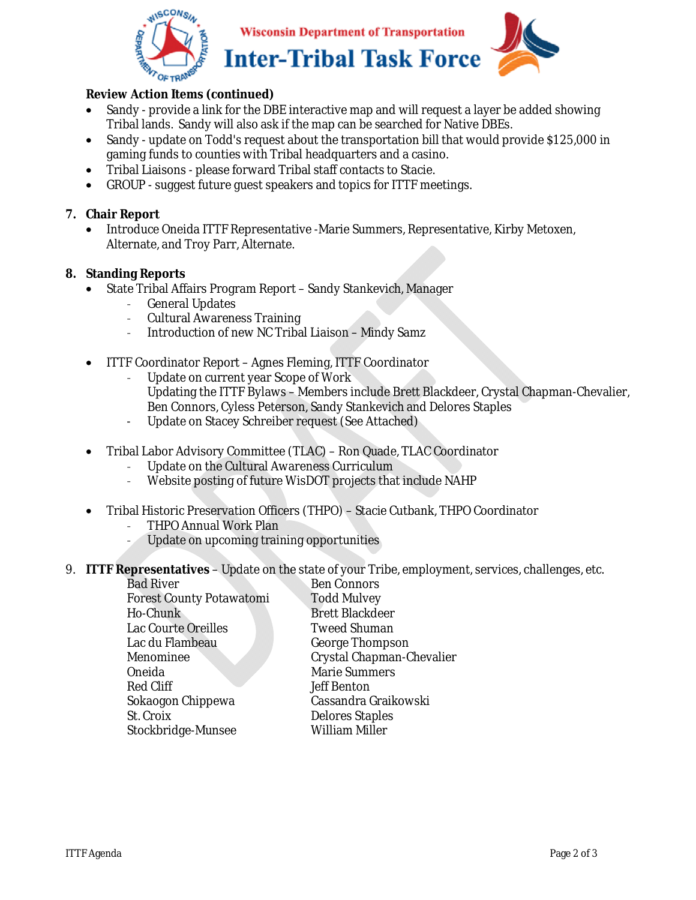

**Wisconsin Department of Transportation Inter-Tribal Task Force** 



## **Review Action Items (continued)**

- Sandy provide a link for the DBE interactive map and will request a layer be added showing Tribal lands. Sandy will also ask if the map can be searched for Native DBEs.
- Sandy update on Todd's request about the transportation bill that would provide \$125,000 in gaming funds to counties with Tribal headquarters and a casino.
- Tribal Liaisons please forward Tribal staff contacts to Stacie.
- GROUP suggest future guest speakers and topics for ITTF meetings.

## **7. Chair Report**

• Introduce Oneida ITTF Representative -Marie Summers, Representative, Kirby Metoxen, Alternate, and Troy Parr, Alternate.

#### **8. Standing Reports**

- State Tribal Affairs Program Report Sandy Stankevich, Manager
	- General Updates
	- Cultural Awareness Training
	- Introduction of new NC Tribal Liaison Mindy Samz
- ITTF Coordinator Report Agnes Fleming, ITTF Coordinator
	- Update on current year Scope of Work
		- Updating the ITTF Bylaws Members include Brett Blackdeer, Crystal Chapman-Chevalier, Ben Connors, Cyless Peterson, Sandy Stankevich and Delores Staples
	- Update on Stacey Schreiber request (See Attached)
- Tribal Labor Advisory Committee (TLAC) Ron Quade, TLAC Coordinator
	- Update on the Cultural Awareness Curriculum
	- Website posting of future WisDOT projects that include NAHP
- Tribal Historic Preservation Officers (THPO) Stacie Cutbank, THPO Coordinator
	- THPO Annual Work Plan
	- Update on upcoming training opportunities
- 9. **ITTF Representatives**  Update on the state of your Tribe, employment, services, challenges, etc.

| <b>Bad River</b>                | <b>Ben Connors</b>        |
|---------------------------------|---------------------------|
| <b>Forest County Potawatomi</b> | <b>Todd Mulvey</b>        |
| Ho-Chunk                        | <b>Brett Blackdeer</b>    |
| <b>Lac Courte Oreilles</b>      | <b>Tweed Shuman</b>       |
| Lac du Flambeau                 | <b>George Thompson</b>    |
| Menominee                       | Crystal Chapman-Chevalier |
| Oneida                          | <b>Marie Summers</b>      |
| <b>Red Cliff</b>                | <b>Jeff Benton</b>        |
| Sokaogon Chippewa               | Cassandra Graikowski      |
| St. Croix                       | <b>Delores Staples</b>    |
| Stockbridge-Munsee              | William Miller            |
|                                 |                           |